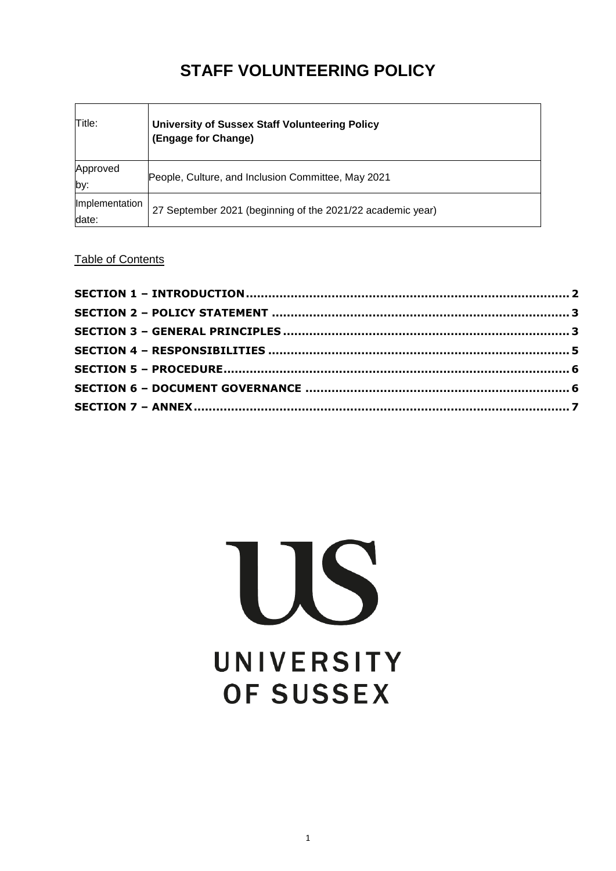# **STAFF VOLUNTEERING POLICY**

| Title:                  | <b>University of Sussex Staff Volunteering Policy</b><br>(Engage for Change) |
|-------------------------|------------------------------------------------------------------------------|
| Approved<br>by:         | People, Culture, and Inclusion Committee, May 2021                           |
| Implementation<br>date: | 27 September 2021 (beginning of the 2021/22 academic year)                   |

# Table of Contents

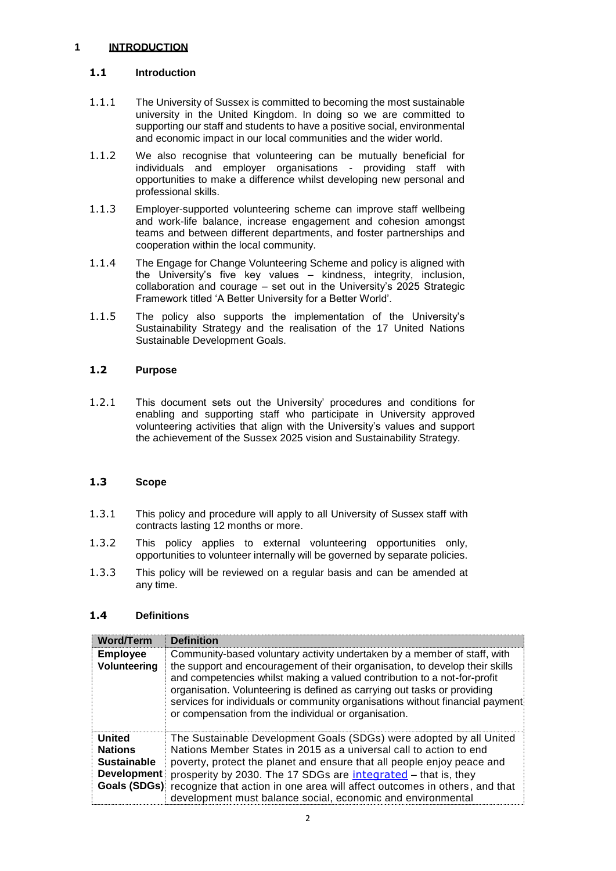## <span id="page-1-0"></span>**1 INTRODUCTION**

## **1.1 Introduction**

- 1.1.1 The University of Sussex is committed to becoming the most sustainable university in the United Kingdom. In doing so we are committed to supporting our staff and students to have a positive social, environmental and economic impact in our local communities and the wider world.
- 1.1.2 We also recognise that volunteering can be mutually beneficial for individuals and employer organisations - providing staff with opportunities to make a difference whilst developing new personal and professional skills.
- 1.1.3 Employer-supported volunteering scheme can improve staff wellbeing and work-life balance, increase engagement and cohesion amongst teams and between different departments, and foster partnerships and cooperation within the local community.
- 1.1.4 The Engage for Change Volunteering Scheme and policy is aligned with the University's five key values – kindness, integrity, inclusion, collaboration and courage – set out in the University's 2025 Strategic Framework titled 'A Better University for a Better World'.
- 1.1.5 The policy also supports the implementation of the University's Sustainability Strategy and the realisation of the 17 United Nations Sustainable Development Goals.

## **1.2 Purpose**

1.2.1 This document sets out the University' procedures and conditions for enabling and supporting staff who participate in University approved volunteering activities that align with the University's values and support the achievement of the Sussex 2025 vision and Sustainability Strategy.

## **1.3 Scope**

- 1.3.1 This policy and procedure will apply to all University of Sussex staff with contracts lasting 12 months or more.
- 1.3.2 This policy applies to external volunteering opportunities only, opportunities to volunteer internally will be governed by separate policies.
- 1.3.3 This policy will be reviewed on a regular basis and can be amended at any time.

## **1.4 Definitions**

| <b>Word/Term</b>                                                                            | <b>Definition</b>                                                                                                                                                                                                                                                                                                                                                                                                                                         |
|---------------------------------------------------------------------------------------------|-----------------------------------------------------------------------------------------------------------------------------------------------------------------------------------------------------------------------------------------------------------------------------------------------------------------------------------------------------------------------------------------------------------------------------------------------------------|
| <b>Employee</b><br>Volunteering                                                             | Community-based voluntary activity undertaken by a member of staff, with<br>the support and encouragement of their organisation, to develop their skills<br>and competencies whilst making a valued contribution to a not-for-profit<br>organisation. Volunteering is defined as carrying out tasks or providing<br>services for individuals or community organisations without financial payment<br>or compensation from the individual or organisation. |
| <b>United</b><br><b>Nations</b><br><b>Sustainable</b><br><b>Development</b><br>Goals (SDGs) | The Sustainable Development Goals (SDGs) were adopted by all United<br>Nations Member States in 2015 as a universal call to action to end<br>poverty, protect the planet and ensure that all people enjoy peace and<br>prosperity by 2030. The 17 SDGs are integrated - that is, they<br>recognize that action in one area will affect outcomes in others, and that<br>development must balance social, economic and environmental                        |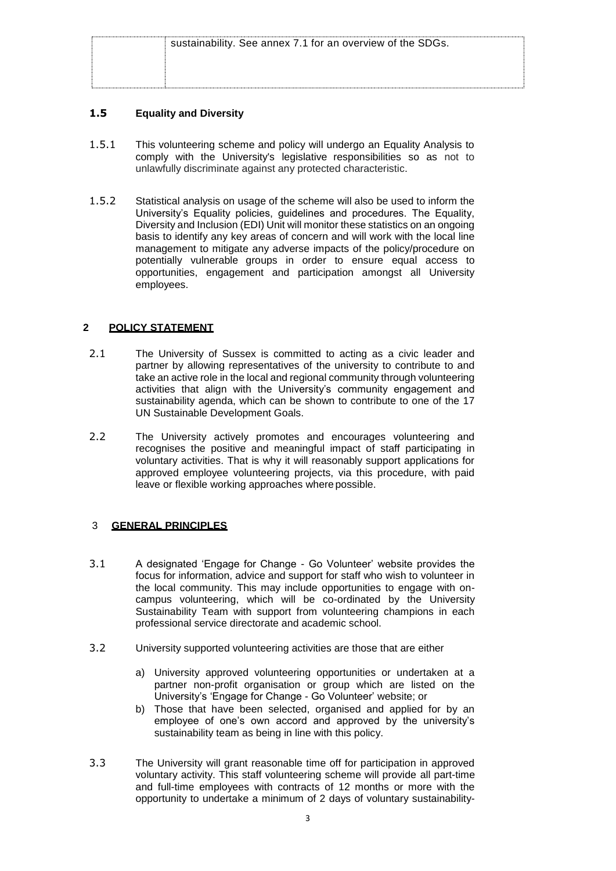| sustainability. See annex 7.1 for an overview of the SDGs. |
|------------------------------------------------------------|
|                                                            |
|                                                            |
|                                                            |

## **1.5 Equality and Diversity**

- 1.5.1 This volunteering scheme and policy will undergo an Equality Analysis to comply with the University's legislative responsibilities so as not to unlawfully discriminate against any protected characteristic.
- 1.5.2 Statistical analysis on usage of the scheme will also be used to inform the University's Equality policies, guidelines and procedures. The Equality, Diversity and Inclusion (EDI) Unit will monitor these statistics on an ongoing basis to identify any key areas of concern and will work with the local line management to mitigate any adverse impacts of the policy/procedure on potentially vulnerable groups in order to ensure equal access to opportunities, engagement and participation amongst all University employees.

## <span id="page-2-0"></span> **2 POLICY STATEMENT**

- 2.1 The University of Sussex is committed to acting as a civic leader and partner by allowing representatives of the university to contribute to and take an active role in the local and regional community through volunteering activities that align with the University's community engagement and sustainability agenda, which can be shown to contribute to one of the 17 UN Sustainable Development Goals.
- 2.2 The University actively promotes and encourages volunteering and recognises the positive and meaningful impact of staff participating in voluntary activities. That is why it will reasonably support applications for approved employee volunteering projects, via this procedure, with paid leave or flexible working approaches where possible.

## <span id="page-2-1"></span>3 **GENERAL PRINCIPLES**

- 3.1 A designated 'Engage for Change Go Volunteer' website provides the focus for information, advice and support for staff who wish to volunteer in the local community. This may include opportunities to engage with oncampus volunteering, which will be co-ordinated by the University Sustainability Team with support from volunteering champions in each professional service directorate and academic school.
- 3.2 University supported volunteering activities are those that are either
	- a) University approved volunteering opportunities or undertaken at a partner non-profit organisation or group which are listed on the University's 'Engage for Change - Go Volunteer' website; or
	- b) Those that have been selected, organised and applied for by an employee of one's own accord and approved by the university's sustainability team as being in line with this policy.
- 3.3 The University will grant reasonable time off for participation in approved voluntary activity. This staff volunteering scheme will provide all part-time and full-time employees with contracts of 12 months or more with the opportunity to undertake a minimum of 2 days of voluntary sustainability-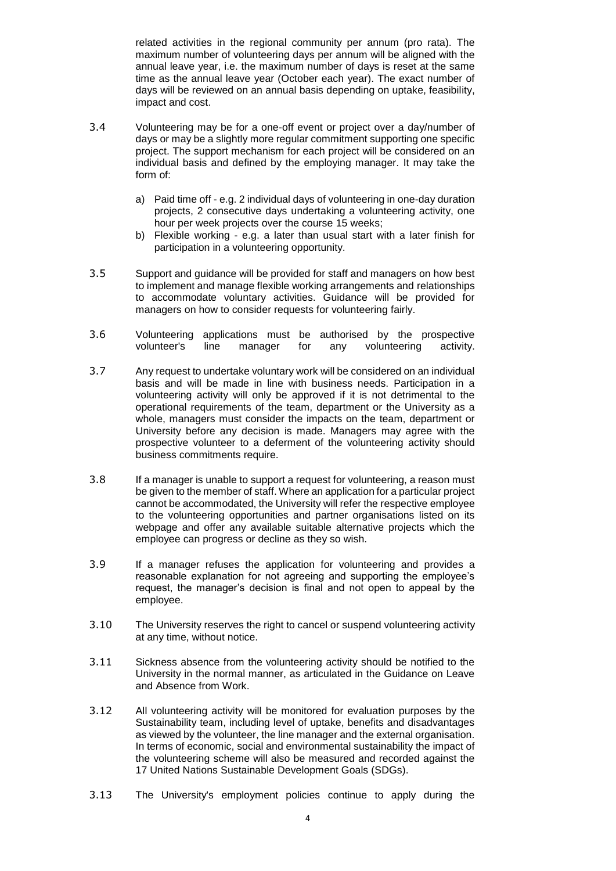related activities in the regional community per annum (pro rata). The maximum number of volunteering days per annum will be aligned with the annual leave year, i.e. the maximum number of days is reset at the same time as the annual leave year (October each year). The exact number of days will be reviewed on an annual basis depending on uptake, feasibility, impact and cost.

- 3.4 Volunteering may be for a one-off event or project over a day/number of days or may be a slightly more regular commitment supporting one specific project. The support mechanism for each project will be considered on an individual basis and defined by the employing manager. It may take the form of:
	- a) Paid time off e.g. 2 individual days of volunteering in one-day duration projects, 2 consecutive days undertaking a volunteering activity, one hour per week projects over the course 15 weeks;
	- b) Flexible working e.g. a later than usual start with a later finish for participation in a volunteering opportunity.
- 3.5 Support and guidance will be provided for staff and managers on how best to implement and manage flexible working arrangements and relationships to accommodate voluntary activities. Guidance will be provided for managers on how to consider requests for volunteering fairly.
- 3.6 Volunteering applications must be authorised by the prospective volunteer's line manager for any volunteering activity. line manager for any volunteering activity.
- 3.7 Any request to undertake voluntary work will be considered on an individual basis and will be made in line with business needs. Participation in a volunteering activity will only be approved if it is not detrimental to the operational requirements of the team, department or the University as a whole, managers must consider the impacts on the team, department or University before any decision is made. Managers may agree with the prospective volunteer to a deferment of the volunteering activity should business commitments require.
- 3.8 If a manager is unable to support a request for volunteering, a reason must be given to the member of staff. Where an application for a particular project cannot be accommodated, the University will refer the respective employee to the volunteering opportunities and partner organisations listed on its webpage and offer any available suitable alternative projects which the employee can progress or decline as they so wish.
- 3.9 If a manager refuses the application for volunteering and provides a reasonable explanation for not agreeing and supporting the employee's request, the manager's decision is final and not open to appeal by the employee.
- 3.10 The University reserves the right to cancel or suspend volunteering activity at any time, without notice.
- 3.11 Sickness absence from the volunteering activity should be notified to the University in the normal manner, as articulated in the Guidance on Leave and Absence from Work.
- 3.12 All volunteering activity will be monitored for evaluation purposes by the Sustainability team, including level of uptake, benefits and disadvantages as viewed by the volunteer, the line manager and the external organisation. In terms of economic, social and environmental sustainability the impact of the volunteering scheme will also be measured and recorded against the 17 United Nations Sustainable Development Goals (SDGs).
- 3.13 The University's employment policies continue to apply during the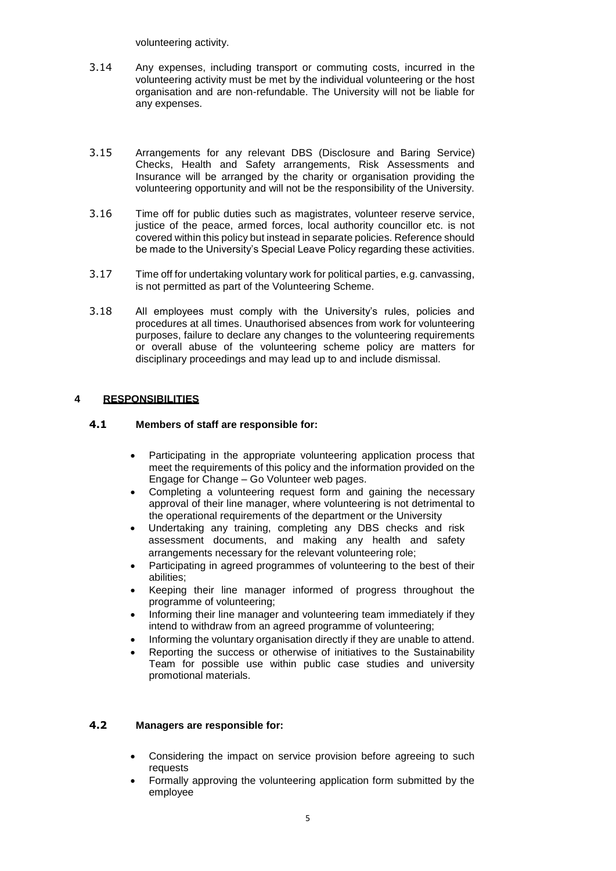volunteering activity.

- 3.14 Any expenses, including transport or commuting costs, incurred in the volunteering activity must be met by the individual volunteering or the host organisation and are non-refundable. The University will not be liable for any expenses.
- 3.15 Arrangements for any relevant DBS (Disclosure and Baring Service) Checks, Health and Safety arrangements, Risk Assessments and Insurance will be arranged by the charity or organisation providing the volunteering opportunity and will not be the responsibility of the University.
- 3.16 Time off for public duties such as magistrates, volunteer reserve service, justice of the peace, armed forces, local authority councillor etc. is not covered within this policy but instead in separate policies. Reference should be made to the University's Special Leave Policy regarding these activities.
- 3.17 Time off for undertaking voluntary work for political parties, e.g. canvassing, is not permitted as part of the Volunteering Scheme.
- 3.18 All employees must comply with the University's rules, policies and procedures at all times. Unauthorised absences from work for volunteering purposes, failure to declare any changes to the volunteering requirements or overall abuse of the volunteering scheme policy are matters for disciplinary proceedings and may lead up to and include dismissal.

#### <span id="page-4-0"></span>**4 RESPONSIBILITIES**

#### **4.1 Members of staff are responsible for:**

- Participating in the appropriate volunteering application process that meet the requirements of this policy and the information provided on the Engage for Change – Go Volunteer web pages.
- Completing a volunteering request form and gaining the necessary approval of their line manager, where volunteering is not detrimental to the operational requirements of the department or the University
- Undertaking any training, completing any DBS checks and risk assessment documents, and making any health and safety arrangements necessary for the relevant volunteering role;
- Participating in agreed programmes of volunteering to the best of their abilities;
- Keeping their line manager informed of progress throughout the programme of volunteering;
- Informing their line manager and volunteering team immediately if they intend to withdraw from an agreed programme of volunteering;
- Informing the voluntary organisation directly if they are unable to attend.
- Reporting the success or otherwise of initiatives to the Sustainability Team for possible use within public case studies and university promotional materials.

#### **4.2 Managers are responsible for:**

- Considering the impact on service provision before agreeing to such requests
- Formally approving the volunteering application form submitted by the employee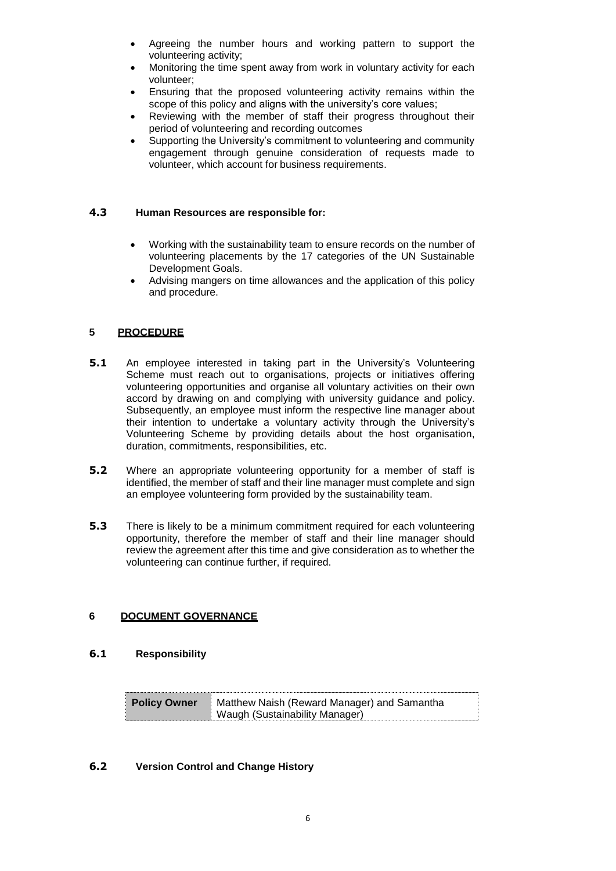- Agreeing the number hours and working pattern to support the volunteering activity;
- Monitoring the time spent away from work in voluntary activity for each volunteer;
- Ensuring that the proposed volunteering activity remains within the scope of this policy and aligns with the university's core values;
- Reviewing with the member of staff their progress throughout their period of volunteering and recording outcomes
- Supporting the University's commitment to volunteering and community engagement through genuine consideration of requests made to volunteer, which account for business requirements.

#### **4.3 Human Resources are responsible for:**

- Working with the sustainability team to ensure records on the number of volunteering placements by the 17 categories of the UN Sustainable Development Goals.
- Advising mangers on time allowances and the application of this policy and procedure.

## <span id="page-5-0"></span>**5 PROCEDURE**

- **5.1** An employee interested in taking part in the University's Volunteering Scheme must reach out to organisations, projects or initiatives offering volunteering opportunities and organise all voluntary activities on their own accord by drawing on and complying with university guidance and policy. Subsequently, an employee must inform the respective line manager about their intention to undertake a voluntary activity through the University's Volunteering Scheme by providing details about the host organisation, duration, commitments, responsibilities, etc.
- **5.2** Where an appropriate volunteering opportunity for a member of staff is identified, the member of staff and their line manager must complete and sign an employee volunteering form provided by the sustainability team.
- **5.3** There is likely to be a minimum commitment required for each volunteering opportunity, therefore the member of staff and their line manager should review the agreement after this time and give consideration as to whether the volunteering can continue further, if required.

## <span id="page-5-1"></span>**6 DOCUMENT GOVERNANCE**

#### **6.1 Responsibility**

| <b>Policy Owner</b> | Matthew Naish (Reward Manager) and Samantha |
|---------------------|---------------------------------------------|
|                     | Waugh (Sustainability Manager)              |

#### **6.2 Version Control and Change History**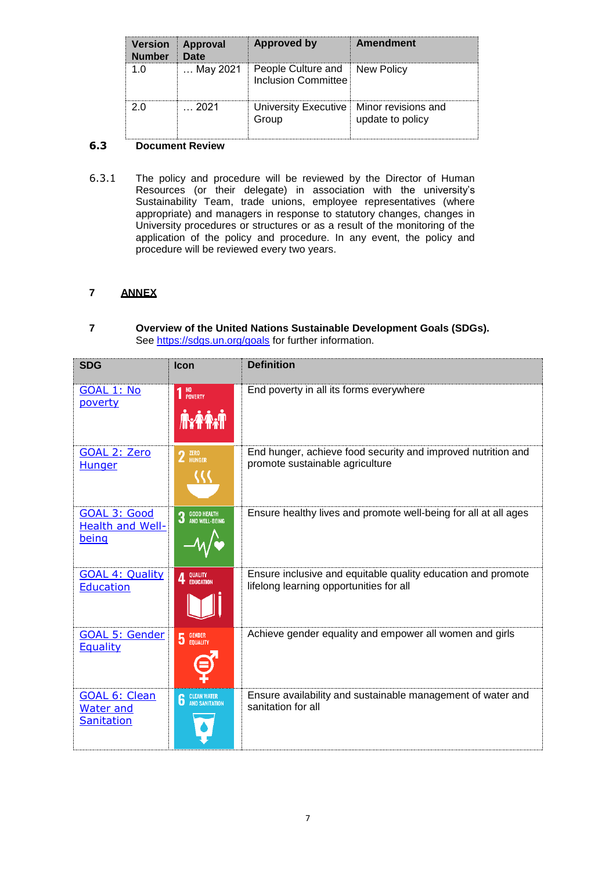| <b>Version</b><br><b>Number</b> | Approval<br><b>Date</b> | <b>Approved by</b>                                          | <b>Amendment</b> |
|---------------------------------|-------------------------|-------------------------------------------------------------|------------------|
| 1 በ                             | … May 2021              | People Culture and New Policy<br><b>Inclusion Committee</b> |                  |
|                                 | - 2021                  | University Executive   Minor revisions and<br>Group         | update to policy |

## **6.3 Document Review**

6.3.1 The policy and procedure will be reviewed by the Director of Human Resources (or their delegate) in association with the university's Sustainability Team, trade unions, employee representatives (where appropriate) and managers in response to statutory changes, changes in University procedures or structures or as a result of the monitoring of the application of the policy and procedure. In any event, the policy and procedure will be reviewed every two years.

## <span id="page-6-0"></span>**7 ANNEX**

#### **7 Overview of the United Nations Sustainable Development Goals (SDGs).** See<https://sdgs.un.org/goals> for further information.

| <b>SDG</b>                                             | Icon                                       | <b>Definition</b>                                                                                       |
|--------------------------------------------------------|--------------------------------------------|---------------------------------------------------------------------------------------------------------|
| GOAL 1: No<br>poverty                                  | $\mathbf{1}$ No<br>Poverty<br><b>AxAAN</b> | End poverty in all its forms everywhere                                                                 |
| <b>GOAL 2: Zero</b><br><b>Hunger</b>                   | $2$ $^{ZERO}$                              | End hunger, achieve food security and improved nutrition and<br>promote sustainable agriculture         |
| GOAL 3: Good<br><b>Health and Well-</b><br>being       | 3 GOOD HEALTH<br>3 AND WELL-BEING          | Ensure healthy lives and promote well-being for all at all ages                                         |
| <b>GOAL 4: Quality</b><br><b>Education</b>             | 4 QUALITY                                  | Ensure inclusive and equitable quality education and promote<br>lifelong learning opportunities for all |
| <b>GOAL 5: Gender</b><br><b>Equality</b>               | 5 GENDER                                   | Achieve gender equality and empower all women and girls                                                 |
| <b>GOAL 6: Clean</b><br><b>Water and</b><br>Sanitation | <b>6</b> CLEAN WATER                       | Ensure availability and sustainable management of water and<br>sanitation for all                       |